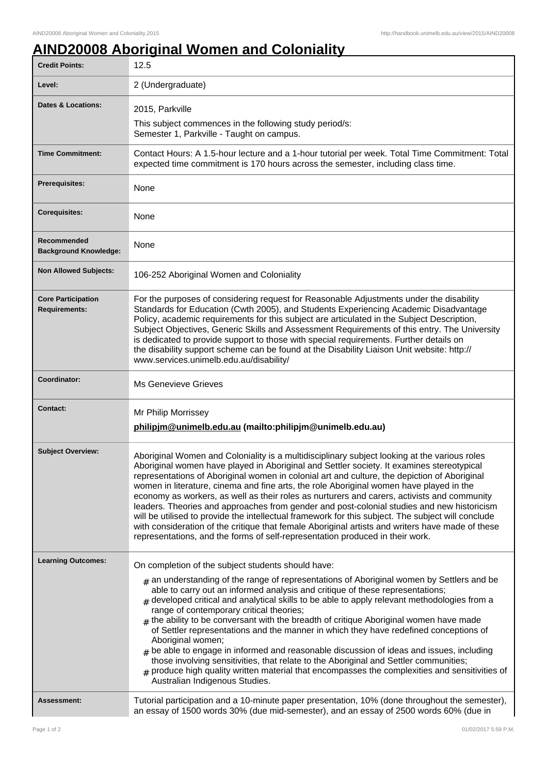## **AIND20008 Aboriginal Women and Coloniality**

| <b>Credit Points:</b>                             | 12.5                                                                                                                                                                                                                                                                                                                                                                                                                                                                                                                                                                                                                                                                                                                                                                                                                                                                         |
|---------------------------------------------------|------------------------------------------------------------------------------------------------------------------------------------------------------------------------------------------------------------------------------------------------------------------------------------------------------------------------------------------------------------------------------------------------------------------------------------------------------------------------------------------------------------------------------------------------------------------------------------------------------------------------------------------------------------------------------------------------------------------------------------------------------------------------------------------------------------------------------------------------------------------------------|
| Level:                                            | 2 (Undergraduate)                                                                                                                                                                                                                                                                                                                                                                                                                                                                                                                                                                                                                                                                                                                                                                                                                                                            |
| <b>Dates &amp; Locations:</b>                     | 2015, Parkville                                                                                                                                                                                                                                                                                                                                                                                                                                                                                                                                                                                                                                                                                                                                                                                                                                                              |
|                                                   | This subject commences in the following study period/s:<br>Semester 1, Parkville - Taught on campus.                                                                                                                                                                                                                                                                                                                                                                                                                                                                                                                                                                                                                                                                                                                                                                         |
| <b>Time Commitment:</b>                           | Contact Hours: A 1.5-hour lecture and a 1-hour tutorial per week. Total Time Commitment: Total<br>expected time commitment is 170 hours across the semester, including class time.                                                                                                                                                                                                                                                                                                                                                                                                                                                                                                                                                                                                                                                                                           |
| <b>Prerequisites:</b>                             | None                                                                                                                                                                                                                                                                                                                                                                                                                                                                                                                                                                                                                                                                                                                                                                                                                                                                         |
| <b>Corequisites:</b>                              | None                                                                                                                                                                                                                                                                                                                                                                                                                                                                                                                                                                                                                                                                                                                                                                                                                                                                         |
| Recommended<br><b>Background Knowledge:</b>       | None                                                                                                                                                                                                                                                                                                                                                                                                                                                                                                                                                                                                                                                                                                                                                                                                                                                                         |
| <b>Non Allowed Subjects:</b>                      | 106-252 Aboriginal Women and Coloniality                                                                                                                                                                                                                                                                                                                                                                                                                                                                                                                                                                                                                                                                                                                                                                                                                                     |
| <b>Core Participation</b><br><b>Requirements:</b> | For the purposes of considering request for Reasonable Adjustments under the disability<br>Standards for Education (Cwth 2005), and Students Experiencing Academic Disadvantage<br>Policy, academic requirements for this subject are articulated in the Subject Description,<br>Subject Objectives, Generic Skills and Assessment Requirements of this entry. The University<br>is dedicated to provide support to those with special requirements. Further details on<br>the disability support scheme can be found at the Disability Liaison Unit website: http://<br>www.services.unimelb.edu.au/disability/                                                                                                                                                                                                                                                             |
| Coordinator:                                      | <b>Ms Genevieve Grieves</b>                                                                                                                                                                                                                                                                                                                                                                                                                                                                                                                                                                                                                                                                                                                                                                                                                                                  |
| <b>Contact:</b>                                   | Mr Philip Morrissey<br>philipjm@unimelb.edu.au (mailto:philipjm@unimelb.edu.au)                                                                                                                                                                                                                                                                                                                                                                                                                                                                                                                                                                                                                                                                                                                                                                                              |
| <b>Subject Overview:</b>                          | Aboriginal Women and Coloniality is a multidisciplinary subject looking at the various roles<br>Aboriginal women have played in Aboriginal and Settler society. It examines stereotypical<br>representations of Aboriginal women in colonial art and culture, the depiction of Aboriginal<br>women in literature, cinema and fine arts, the role Aboriginal women have played in the<br>economy as workers, as well as their roles as nurturers and carers, activists and community<br>leaders. Theories and approaches from gender and post-colonial studies and new historicism<br>will be utilised to provide the intellectual framework for this subject. The subject will conclude<br>with consideration of the critique that female Aboriginal artists and writers have made of these<br>representations, and the forms of self-representation produced in their work. |
| <b>Learning Outcomes:</b>                         | On completion of the subject students should have:                                                                                                                                                                                                                                                                                                                                                                                                                                                                                                                                                                                                                                                                                                                                                                                                                           |
|                                                   | $_{\#}$ an understanding of the range of representations of Aboriginal women by Settlers and be<br>able to carry out an informed analysis and critique of these representations;<br>$#$ developed critical and analytical skills to be able to apply relevant methodologies from a<br>range of contemporary critical theories;<br>$_{\#}$ the ability to be conversant with the breadth of critique Aboriginal women have made<br>of Settler representations and the manner in which they have redefined conceptions of<br>Aboriginal women;<br>$_{\#}$ be able to engage in informed and reasonable discussion of ideas and issues, including<br>those involving sensitivities, that relate to the Aboriginal and Settler communities;<br>produce high quality written material that encompasses the complexities and sensitivities of<br>Australian Indigenous Studies.    |
| <b>Assessment:</b>                                | Tutorial participation and a 10-minute paper presentation, 10% (done throughout the semester),<br>an essay of 1500 words 30% (due mid-semester), and an essay of 2500 words 60% (due in                                                                                                                                                                                                                                                                                                                                                                                                                                                                                                                                                                                                                                                                                      |